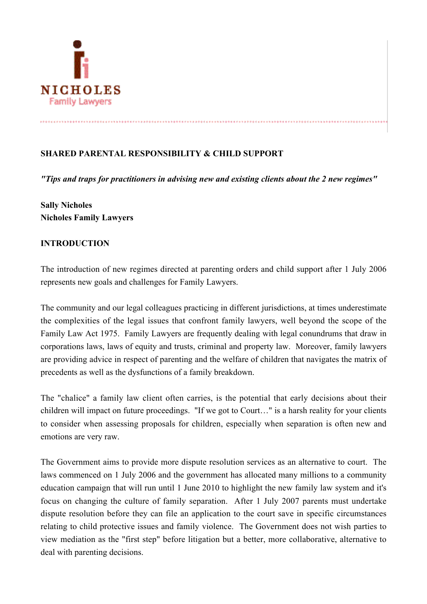

# SHARED PARENTAL RESPONSIBILITY & CHILD SUPPORT

*"Tips and traps for practitioners in advising new and existing clients about the 2 new regimes"*

Sally Nicholes Nicholes Family Lawyers

#### INTRODUCTION

The introduction of new regimes directed at parenting orders and child support after 1 July 2006 represents new goals and challenges for Family Lawyers.

The community and our legal colleagues practicing in different jurisdictions, at times underestimate the complexities of the legal issues that confront family lawyers, well beyond the scope of the Family Law Act 1975. Family Lawyers are frequently dealing with legal conundrums that draw in corporations laws, laws of equity and trusts, criminal and property law. Moreover, family lawyers are providing advice in respect of parenting and the welfare of children that navigates the matrix of precedents as well as the dysfunctions of a family breakdown.

The "chalice" a family law client often carries, is the potential that early decisions about their children will impact on future proceedings. "If we got to Court…" is a harsh reality for your clients to consider when assessing proposals for children, especially when separation is often new and emotions are very raw.

The Government aims to provide more dispute resolution services as an alternative to court. The laws commenced on 1 July 2006 and the government has allocated many millions to a community education campaign that will run until 1 June 2010 to highlight the new family law system and it's focus on changing the culture of family separation. After 1 July 2007 parents must undertake dispute resolution before they can file an application to the court save in specific circumstances relating to child protective issues and family violence. The Government does not wish parties to view mediation as the "first step" before litigation but a better, more collaborative, alternative to deal with parenting decisions.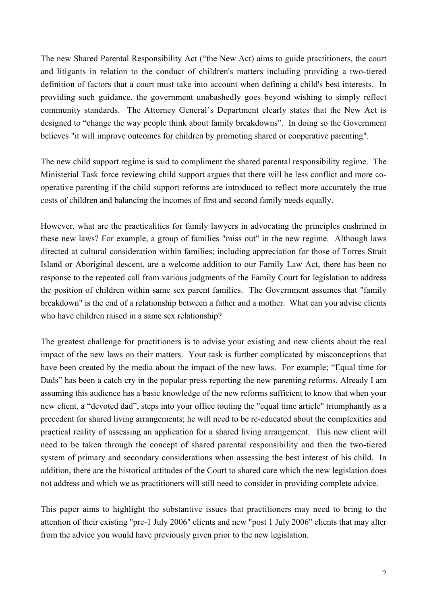The new Shared Parental Responsibility Act ("the New Act) aims to guide practitioners, the court and litigants in relation to the conduct of children's matters including providing a two-tiered definition of factors that a court must take into account when defining a child's best interests. In providing such guidance, the government unabashedly goes beyond wishing to simply reflect community standards. The Attorney General's Department clearly states that the New Act is designed to "change the way people think about family breakdowns". In doing so the Government believes "it will improve outcomes for children by promoting shared or cooperative parenting".

The new child support regime is said to compliment the shared parental responsibility regime. The Ministerial Task force reviewing child support argues that there will be less conflict and more cooperative parenting if the child support reforms are introduced to reflect more accurately the true costs of children and balancing the incomes of first and second family needs equally.

However, what are the practicalities for family lawyers in advocating the principles enshrined in these new laws? For example, a group of families "miss out" in the new regime. Although laws directed at cultural consideration within families; including appreciation for those of Torres Strait Island or Aboriginal descent, are a welcome addition to our Family Law Act, there has been no response to the repeated call from various judgments of the Family Court for legislation to address the position of children within same sex parent families. The Government assumes that "family breakdown" is the end of a relationship between a father and a mother. What can you advise clients who have children raised in a same sex relationship?

The greatest challenge for practitioners is to advise your existing and new clients about the real impact of the new laws on their matters. Your task is further complicated by misconceptions that have been created by the media about the impact of the new laws. For example; "Equal time for Dads" has been a catch cry in the popular press reporting the new parenting reforms. Already I am assuming this audience has a basic knowledge of the new reforms sufficient to know that when your new client, a "devoted dad", steps into your office touting the "equal time article" triumphantly as a precedent for shared living arrangements; he will need to be re-educated about the complexities and practical reality of assessing an application for a shared living arrangement. This new client will need to be taken through the concept of shared parental responsibility and then the two-tiered system of primary and secondary considerations when assessing the best interest of his child. In addition, there are the historical attitudes of the Court to shared care which the new legislation does not address and which we as practitioners will still need to consider in providing complete advice.

This paper aims to highlight the substantive issues that practitioners may need to bring to the attention of their existing "pre-1 July 2006" clients and new "post 1 July 2006" clients that may alter from the advice you would have previously given prior to the new legislation.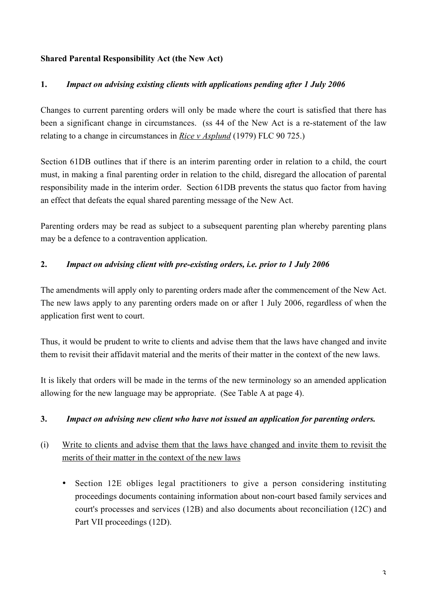## Shared Parental Responsibility Act (the New Act)

## 1. *Impact on advising existing clients with applications pending after 1 July 2006*

Changes to current parenting orders will only be made where the court is satisfied that there has been a significant change in circumstances. (ss 44 of the New Act is a re-statement of the law relating to a change in circumstances in *Rice v Asplund* (1979) FLC 90 725.)

Section 61DB outlines that if there is an interim parenting order in relation to a child, the court must, in making a final parenting order in relation to the child, disregard the allocation of parental responsibility made in the interim order. Section 61DB prevents the status quo factor from having an effect that defeats the equal shared parenting message of the New Act.

Parenting orders may be read as subject to a subsequent parenting plan whereby parenting plans may be a defence to a contravention application.

## 2. *Impact on advising client with pre-existing orders, i.e. prior to 1 July 2006*

The amendments will apply only to parenting orders made after the commencement of the New Act. The new laws apply to any parenting orders made on or after 1 July 2006, regardless of when the application first went to court.

Thus, it would be prudent to write to clients and advise them that the laws have changed and invite them to revisit their affidavit material and the merits of their matter in the context of the new laws.

It is likely that orders will be made in the terms of the new terminology so an amended application allowing for the new language may be appropriate. (See Table A at page 4).

#### 3. *Impact on advising new client who have not issued an application for parenting orders.*

# (i) Write to clients and advise them that the laws have changed and invite them to revisit the merits of their matter in the context of the new laws

• Section 12E obliges legal practitioners to give a person considering instituting proceedings documents containing information about non-court based family services and court's processes and services (12B) and also documents about reconciliation (12C) and Part VII proceedings (12D).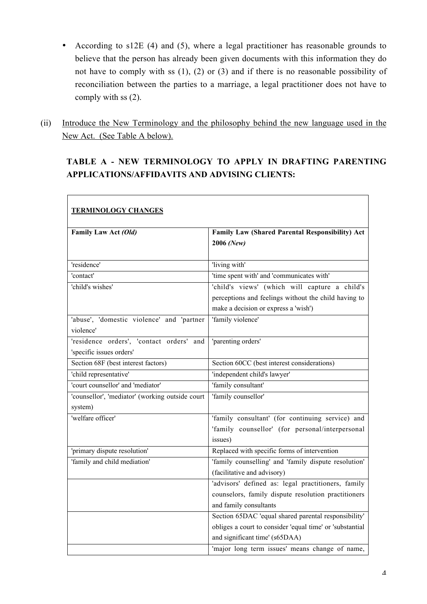- According to s12E (4) and (5), where a legal practitioner has reasonable grounds to believe that the person has already been given documents with this information they do not have to comply with ss (1), (2) or (3) and if there is no reasonable possibility of reconciliation between the parties to a marriage, a legal practitioner does not have to comply with ss (2).
- (ii) Introduce the New Terminology and the philosophy behind the new language used in the New Act. (See Table A below).

 $\overline{\Gamma}$ 

# TABLE A - NEW TERMINOLOGY TO APPLY IN DRAFTING PARENTING APPLICATIONS/AFFIDAVITS AND ADVISING CLIENTS:

| <b>TERMINOLOGY CHANGES</b>                      |                                                          |
|-------------------------------------------------|----------------------------------------------------------|
| Family Law Act (Old)                            | <b>Family Law (Shared Parental Responsibility) Act</b>   |
|                                                 | 2006 (New)                                               |
| 'residence'                                     | 'living with'                                            |
| 'contact'                                       | 'time spent with' and 'communicates with'                |
| 'child's wishes'                                | 'child's views' (which will capture a child's            |
|                                                 | perceptions and feelings without the child having to     |
|                                                 | make a decision or express a 'wish')                     |
| 'abuse', 'domestic violence' and 'partner       | 'family violence'                                        |
| violence'                                       |                                                          |
| 'residence orders', 'contact orders' and        | 'parenting orders'                                       |
| 'specific issues orders'                        |                                                          |
| Section 68F (best interest factors)             | Section 60CC (best interest considerations)              |
| 'child representative'                          | 'independent child's lawyer'                             |
| 'court counsellor' and 'mediator'               | 'family consultant'                                      |
| 'counsellor', 'mediator' (working outside court | 'family counsellor'                                      |
| system)                                         |                                                          |
| 'welfare officer'                               | 'family consultant' (for continuing service) and         |
|                                                 | 'family counsellor' (for personal/interpersonal          |
|                                                 | issues)                                                  |
| 'primary dispute resolution'                    | Replaced with specific forms of intervention             |
| 'family and child mediation'                    | 'family counselling' and 'family dispute resolution'     |
|                                                 | (facilitative and advisory)                              |
|                                                 | 'advisors' defined as: legal practitioners, family       |
|                                                 | counselors, family dispute resolution practitioners      |
|                                                 | and family consultants                                   |
|                                                 | Section 65DAC 'equal shared parental responsibility'     |
|                                                 | obliges a court to consider 'equal time' or 'substantial |
|                                                 | and significant time' (s65DAA)                           |
|                                                 | 'major long term issues' means change of name,           |

٦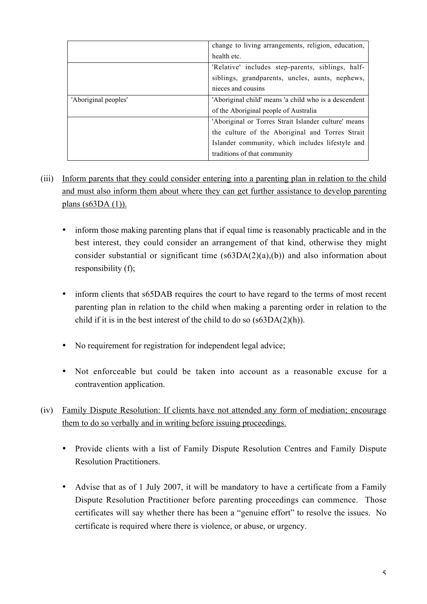|                      | change to living arrangements, religion, education,   |
|----------------------|-------------------------------------------------------|
|                      | health etc.                                           |
|                      | 'Relative' includes step-parents, siblings, half-     |
|                      | siblings, grandparents, uncles, aunts, nephews,       |
|                      | nieces and cousins                                    |
| 'Aboriginal peoples' | 'Aboriginal child' means 'a child who is a descendent |
|                      | of the Aboriginal people of Australia                 |
|                      | 'Aboriginal or Torres Strait Islander culture' means  |
|                      | the culture of the Aboriginal and Torres Strait       |
|                      | Islander community, which includes lifestyle and      |
|                      | traditions of that community                          |

- (iii) Inform parents that they could consider entering into a parenting plan in relation to the child and must also inform them about where they can get further assistance to develop parenting plans  $(s63DA(1))$ .
	- inform those making parenting plans that if equal time is reasonably practicable and in the best interest, they could consider an arrangement of that kind, otherwise they might consider substantial or significant time  $(s63DA(2)(a)(b))$  and also information about responsibility (f);
	- inform clients that s65DAB requires the court to have regard to the terms of most recent parenting plan in relation to the child when making a parenting order in relation to the child if it is in the best interest of the child to do so (s63DA(2)(h)).
	- No requirement for registration for independent legal advice;
	- Not enforceable but could be taken into account as a reasonable excuse for a contravention application.
- (iv) Family Dispute Resolution: If clients have not attended any form of mediation; encourage them to do so verbally and in writing before issuing proceedings.
	- Provide clients with a list of Family Dispute Resolution Centres and Family Dispute Resolution Practitioners.
	- Advise that as of 1 July 2007, it will be mandatory to have a certificate from a Family Dispute Resolution Practitioner before parenting proceedings can commence. Those certificates will say whether there has been a "genuine effort" to resolve the issues. No certificate is required where there is violence, or abuse, or urgency.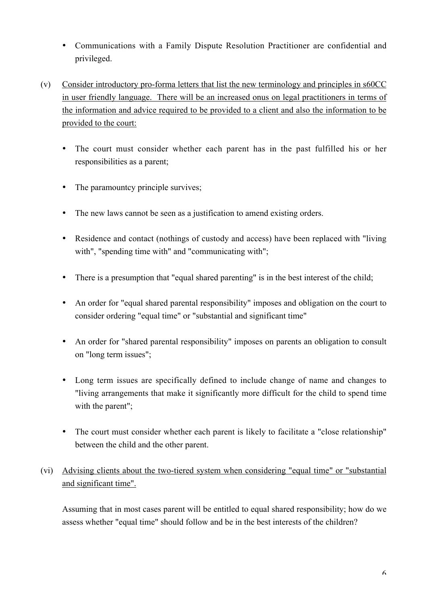- Communications with a Family Dispute Resolution Practitioner are confidential and privileged.
- (v) Consider introductory pro-forma letters that list the new terminology and principles in s60CC in user friendly language. There will be an increased onus on legal practitioners in terms of the information and advice required to be provided to a client and also the information to be provided to the court:
	- The court must consider whether each parent has in the past fulfilled his or her responsibilities as a parent;
	- The paramountcy principle survives:
	- The new laws cannot be seen as a justification to amend existing orders.
	- Residence and contact (nothings of custody and access) have been replaced with "living with", "spending time with" and "communicating with";
	- There is a presumption that "equal shared parenting" is in the best interest of the child;
	- An order for "equal shared parental responsibility" imposes and obligation on the court to consider ordering "equal time" or "substantial and significant time"
	- An order for "shared parental responsibility" imposes on parents an obligation to consult on "long term issues";
	- Long term issues are specifically defined to include change of name and changes to "living arrangements that make it significantly more difficult for the child to spend time with the parent":
	- The court must consider whether each parent is likely to facilitate a "close relationship" between the child and the other parent.
- (vi) Advising clients about the two-tiered system when considering "equal time" or "substantial and significant time".

Assuming that in most cases parent will be entitled to equal shared responsibility; how do we assess whether "equal time" should follow and be in the best interests of the children?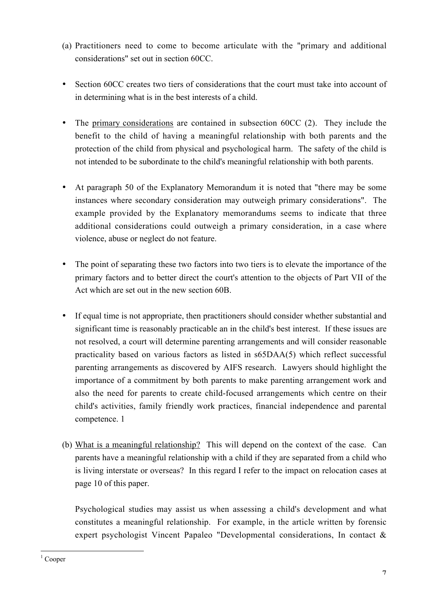- (a) Practitioners need to come to become articulate with the "primary and additional considerations" set out in section 60CC.
- Section 60CC creates two tiers of considerations that the court must take into account of in determining what is in the best interests of a child.
- The primary considerations are contained in subsection 60CC (2). They include the benefit to the child of having a meaningful relationship with both parents and the protection of the child from physical and psychological harm. The safety of the child is not intended to be subordinate to the child's meaningful relationship with both parents.
- At paragraph 50 of the Explanatory Memorandum it is noted that "there may be some instances where secondary consideration may outweigh primary considerations". The example provided by the Explanatory memorandums seems to indicate that three additional considerations could outweigh a primary consideration, in a case where violence, abuse or neglect do not feature.
- The point of separating these two factors into two tiers is to elevate the importance of the primary factors and to better direct the court's attention to the objects of Part VII of the Act which are set out in the new section 60B.
- If equal time is not appropriate, then practitioners should consider whether substantial and significant time is reasonably practicable an in the child's best interest. If these issues are not resolved, a court will determine parenting arrangements and will consider reasonable practicality based on various factors as listed in s65DAA(5) which reflect successful parenting arrangements as discovered by AIFS research. Lawyers should highlight the importance of a commitment by both parents to make parenting arrangement work and also the need for parents to create child-focused arrangements which centre on their child's activities, family friendly work practices, financial independence and parental competence. 1
- (b) What is a meaningful relationship? This will depend on the context of the case. Can parents have a meaningful relationship with a child if they are separated from a child who is living interstate or overseas? In this regard I refer to the impact on relocation cases at page 10 of this paper.

Psychological studies may assist us when assessing a child's development and what constitutes a meaningful relationship. For example, in the article written by forensic expert psychologist Vincent Papaleo "Developmental considerations, In contact &

 $\frac{1}{1}$  $1$  Cooper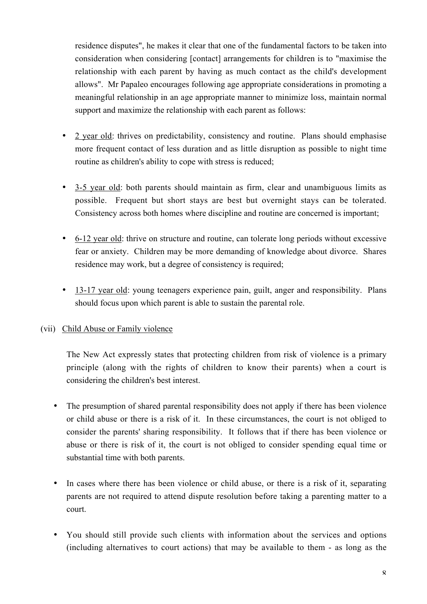residence disputes", he makes it clear that one of the fundamental factors to be taken into consideration when considering [contact] arrangements for children is to "maximise the relationship with each parent by having as much contact as the child's development allows". Mr Papaleo encourages following age appropriate considerations in promoting a meaningful relationship in an age appropriate manner to minimize loss, maintain normal support and maximize the relationship with each parent as follows:

- 2 year old: thrives on predictability, consistency and routine. Plans should emphasise more frequent contact of less duration and as little disruption as possible to night time routine as children's ability to cope with stress is reduced;
- 3-5 year old: both parents should maintain as firm, clear and unambiguous limits as possible. Frequent but short stays are best but overnight stays can be tolerated. Consistency across both homes where discipline and routine are concerned is important;
- 6-12 year old: thrive on structure and routine, can tolerate long periods without excessive fear or anxiety. Children may be more demanding of knowledge about divorce. Shares residence may work, but a degree of consistency is required;
- 13-17 year old: young teenagers experience pain, guilt, anger and responsibility. Plans should focus upon which parent is able to sustain the parental role.

## (vii) Child Abuse or Family violence

The New Act expressly states that protecting children from risk of violence is a primary principle (along with the rights of children to know their parents) when a court is considering the children's best interest.

- The presumption of shared parental responsibility does not apply if there has been violence or child abuse or there is a risk of it. In these circumstances, the court is not obliged to consider the parents' sharing responsibility. It follows that if there has been violence or abuse or there is risk of it, the court is not obliged to consider spending equal time or substantial time with both parents.
- In cases where there has been violence or child abuse, or there is a risk of it, separating parents are not required to attend dispute resolution before taking a parenting matter to a court.
- You should still provide such clients with information about the services and options (including alternatives to court actions) that may be available to them - as long as the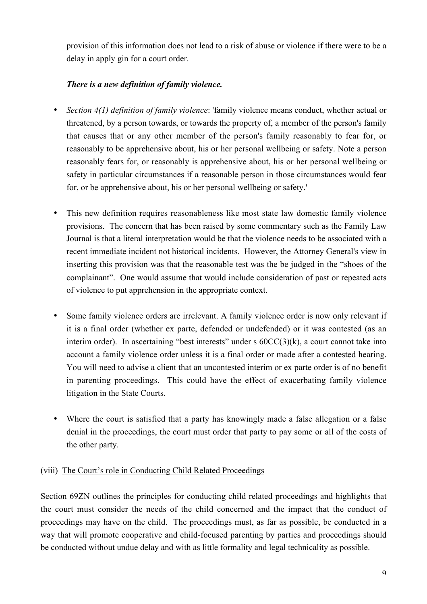provision of this information does not lead to a risk of abuse or violence if there were to be a delay in apply gin for a court order.

# *There is a new definition of family violence.*

- *Section 4(1) definition of family violence*: 'family violence means conduct, whether actual or threatened, by a person towards, or towards the property of, a member of the person's family that causes that or any other member of the person's family reasonably to fear for, or reasonably to be apprehensive about, his or her personal wellbeing or safety. Note a person reasonably fears for, or reasonably is apprehensive about, his or her personal wellbeing or safety in particular circumstances if a reasonable person in those circumstances would fear for, or be apprehensive about, his or her personal wellbeing or safety.'
- This new definition requires reasonableness like most state law domestic family violence provisions. The concern that has been raised by some commentary such as the Family Law Journal is that a literal interpretation would be that the violence needs to be associated with a recent immediate incident not historical incidents. However, the Attorney General's view in inserting this provision was that the reasonable test was the be judged in the "shoes of the complainant". One would assume that would include consideration of past or repeated acts of violence to put apprehension in the appropriate context.
- Some family violence orders are irrelevant. A family violence order is now only relevant if it is a final order (whether ex parte, defended or undefended) or it was contested (as an interim order). In ascertaining "best interests" under s  $60CC(3)(k)$ , a court cannot take into account a family violence order unless it is a final order or made after a contested hearing. You will need to advise a client that an uncontested interim or ex parte order is of no benefit in parenting proceedings. This could have the effect of exacerbating family violence litigation in the State Courts.
- Where the court is satisfied that a party has knowingly made a false allegation or a false denial in the proceedings, the court must order that party to pay some or all of the costs of the other party.

## (viii) The Court's role in Conducting Child Related Proceedings

Section 69ZN outlines the principles for conducting child related proceedings and highlights that the court must consider the needs of the child concerned and the impact that the conduct of proceedings may have on the child. The proceedings must, as far as possible, be conducted in a way that will promote cooperative and child-focused parenting by parties and proceedings should be conducted without undue delay and with as little formality and legal technicality as possible.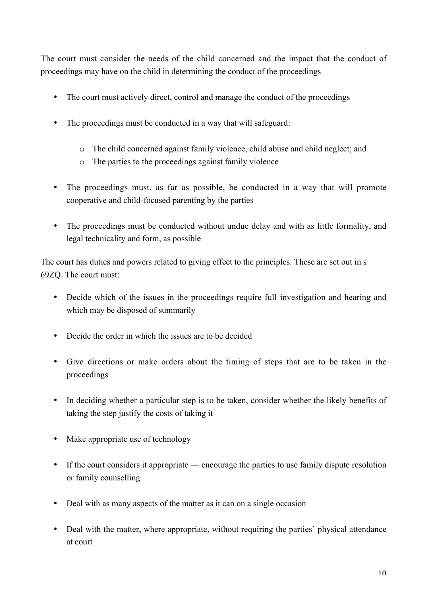The court must consider the needs of the child concerned and the impact that the conduct of proceedings may have on the child in determining the conduct of the proceedings

- The court must actively direct, control and manage the conduct of the proceedings
- The proceedings must be conducted in a way that will safeguard:
	- o The child concerned against family violence, child abuse and child neglect; and
	- o The parties to the proceedings against family violence
- The proceedings must, as far as possible, be conducted in a way that will promote cooperative and child-focused parenting by the parties
- The proceedings must be conducted without undue delay and with as little formality, and legal technicality and form, as possible

The court has duties and powers related to giving effect to the principles. These are set out in s 69ZQ. The court must:

- Decide which of the issues in the proceedings require full investigation and hearing and which may be disposed of summarily
- Decide the order in which the issues are to be decided
- Give directions or make orders about the timing of steps that are to be taken in the proceedings
- In deciding whether a particular step is to be taken, consider whether the likely benefits of taking the step justify the costs of taking it
- Make appropriate use of technology
- If the court considers it appropriate encourage the parties to use family dispute resolution or family counselling
- Deal with as many aspects of the matter as it can on a single occasion
- Deal with the matter, where appropriate, without requiring the parties' physical attendance at court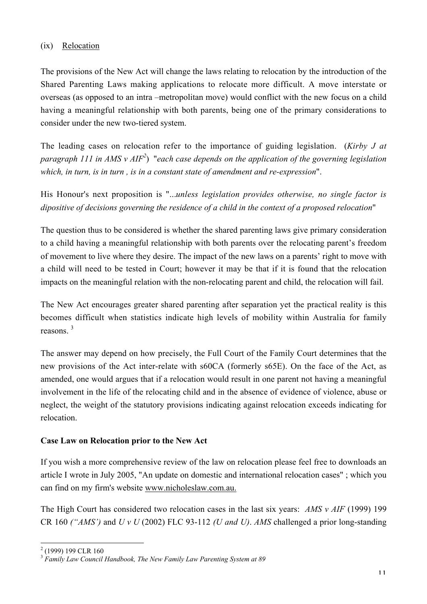## (ix) Relocation

The provisions of the New Act will change the laws relating to relocation by the introduction of the Shared Parenting Laws making applications to relocate more difficult. A move interstate or overseas (as opposed to an intra –metropolitan move) would conflict with the new focus on a child having a meaningful relationship with both parents, being one of the primary considerations to consider under the new two-tiered system.

The leading cases on relocation refer to the importance of guiding legislation. (*Kirby J at paragraph 111 in AMS v AIF2* ) "*each case depends on the application of the governing legislation which, in turn, is in turn , is in a constant state of amendment and re-expression*".

His Honour's next proposition is "...*unless legislation provides otherwise, no single factor is dipositive of decisions governing the residence of a child in the context of a proposed relocation*"

The question thus to be considered is whether the shared parenting laws give primary consideration to a child having a meaningful relationship with both parents over the relocating parent's freedom of movement to live where they desire. The impact of the new laws on a parents' right to move with a child will need to be tested in Court; however it may be that if it is found that the relocation impacts on the meaningful relation with the non-relocating parent and child, the relocation will fail.

The New Act encourages greater shared parenting after separation yet the practical reality is this becomes difficult when statistics indicate high levels of mobility within Australia for family reasons. <sup>3</sup>

The answer may depend on how precisely, the Full Court of the Family Court determines that the new provisions of the Act inter-relate with s60CA (formerly s65E). On the face of the Act, as amended, one would argues that if a relocation would result in one parent not having a meaningful involvement in the life of the relocating child and in the absence of evidence of violence, abuse or neglect, the weight of the statutory provisions indicating against relocation exceeds indicating for relocation.

#### Case Law on Relocation prior to the New Act

If you wish a more comprehensive review of the law on relocation please feel free to downloads an article I wrote in July 2005, "An update on domestic and international relocation cases" ; which you can find on my firm's website www.nicholeslaw.com.au.

The High Court has considered two relocation cases in the last six years: *AMS v AIF* (1999) 199 CR 160 *("AMS')* and *U v U* (2002) FLC 93-112 *(U and U)*. *AMS* challenged a prior long-standing

 $\frac{1}{2}$  $(1999)$  199 CLR 160

<sup>3</sup> *Family Law Council Handbook, The New Family Law Parenting System at 89*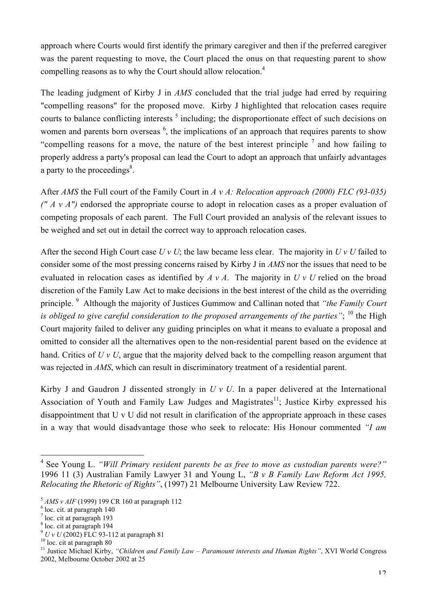approach where Courts would first identify the primary caregiver and then if the preferred caregiver was the parent requesting to move, the Court placed the onus on that requesting parent to show compelling reasons as to why the Court should allow relocation.4

The leading judgment of Kirby J in *AMS* concluded that the trial judge had erred by requiring "compelling reasons" for the proposed move. Kirby J highlighted that relocation cases require courts to balance conflicting interests  $5$  including; the disproportionate effect of such decisions on women and parents born overseas <sup>6</sup>, the implications of an approach that requires parents to show "compelling reasons for a move, the nature of the best interest principle  $\frac{7}{1}$  and how failing to properly address a party's proposal can lead the Court to adopt an approach that unfairly advantages a party to the proceedings<sup>8</sup>.

After *AMS* the Full court of the Family Court in *A v A: Relocation approach (2000) FLC (93-035) (" A v A")* endorsed the appropriate course to adopt in relocation cases as a proper evaluation of competing proposals of each parent. The Full Court provided an analysis of the relevant issues to be weighed and set out in detail the correct way to approach relocation cases.

After the second High Court case *U v U*; the law became less clear. The majority in *U v U* failed to consider some of the most pressing concerns raised by Kirby J in *AMS* nor the issues that need to be evaluated in relocation cases as identified by *A v A*. The majority in *U v U* relied on the broad discretion of the Family Law Act to make decisions in the best interest of the child as the overriding principle. <sup>9</sup> Although the majority of Justices Gummow and Callinan noted that *"the Family Court is obliged to give careful consideration to the proposed arrangements of the parties*"; <sup>10</sup> the High Court majority failed to deliver any guiding principles on what it means to evaluate a proposal and omitted to consider all the alternatives open to the non-residential parent based on the evidence at hand. Critics of *U v U*, argue that the majority delved back to the compelling reason argument that was rejected in *AMS*, which can result in discriminatory treatment of a residential parent.

Kirby J and Gaudron J dissented strongly in *U v U*. In a paper delivered at the International Association of Youth and Family Law Judges and Magistrates<sup>11</sup>; Justice Kirby expressed his disappointment that U v U did not result in clarification of the appropriate approach in these cases in a way that would disadvantage those who seek to relocate: His Honour commented *"I am*

 <sup>4</sup> See Young L. *"Will Primary resident parents be as free to move as custodian parents were?"* 1996 11 (3) Australian Family Lawyer 31 and Young L, *"B v B Family Law Reform Act 1995, Relocating the Rhetoric of Rights"*, (1997) 21 Melbourne University Law Review 722.

 $5$  *AMS v AIF* (1999) 199 CR 160 at paragraph 112

 $6$ loc. cit. at paragraph 140

<sup>&</sup>lt;sup>7</sup> loc. cit at paragraph 193

<sup>8</sup> loc. cit at paragraph 194

<sup>&</sup>lt;sup>9</sup> *U v U* (2002) FLC 93-112 at paragraph 81

 $\frac{10}{10}$  loc. cit at paragraph 80

<sup>&</sup>lt;sup>11</sup> Justice Michael Kirby, "Children and Family Law – Paramount interests and Human Rights", XVI World Congress 2002, Melbourne October 2002 at 25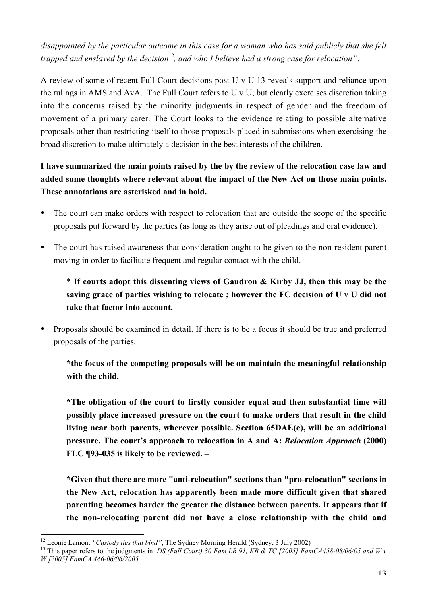*disappointed by the particular outcome in this case for a woman who has said publicly that she felt trapped and enslaved by the decision*<sup>12</sup>, and who I believe had a strong case for relocation".

A review of some of recent Full Court decisions post U v U 13 reveals support and reliance upon the rulings in AMS and AvA. The Full Court refers to U v U; but clearly exercises discretion taking into the concerns raised by the minority judgments in respect of gender and the freedom of movement of a primary carer. The Court looks to the evidence relating to possible alternative proposals other than restricting itself to those proposals placed in submissions when exercising the broad discretion to make ultimately a decision in the best interests of the children.

I have summarized the main points raised by the by the review of the relocation case law and added some thoughts where relevant about the impact of the New Act on those main points. These annotations are asterisked and in bold.

- The court can make orders with respect to relocation that are outside the scope of the specific proposals put forward by the parties (as long as they arise out of pleadings and oral evidence).
- The court has raised awareness that consideration ought to be given to the non-resident parent moving in order to facilitate frequent and regular contact with the child.

\* If courts adopt this dissenting views of Gaudron & Kirby JJ, then this may be the saving grace of parties wishing to relocate ; however the FC decision of U v U did not take that factor into account.

• Proposals should be examined in detail. If there is to be a focus it should be true and preferred proposals of the parties.

\*the focus of the competing proposals will be on maintain the meaningful relationship with the child.

\*The obligation of the court to firstly consider equal and then substantial time will possibly place increased pressure on the court to make orders that result in the child living near both parents, wherever possible. Section 65DAE(e), will be an additional pressure. The court's approach to relocation in A and A: *Relocation Approach* (2000) FLC ¶93-035 is likely to be reviewed. –

\*Given that there are more "anti-relocation" sections than "pro-relocation" sections in the New Act, relocation has apparently been made more difficult given that shared parenting becomes harder the greater the distance between parents. It appears that if the non-relocating parent did not have a close relationship with the child and

<sup>&</sup>lt;sup>12</sup> Leonie Lamont "Custody ties that bind", The Sydney Morning Herald (Sydney, 3 July 2002)

<sup>&</sup>lt;sup>13</sup> This paper refers to the judgments in *DS (Full Court) 30 Fam LR 91, KB & TC [2005] FamCA458-08/06/05 and W v W [2005] FamCA 446-06/06/2005*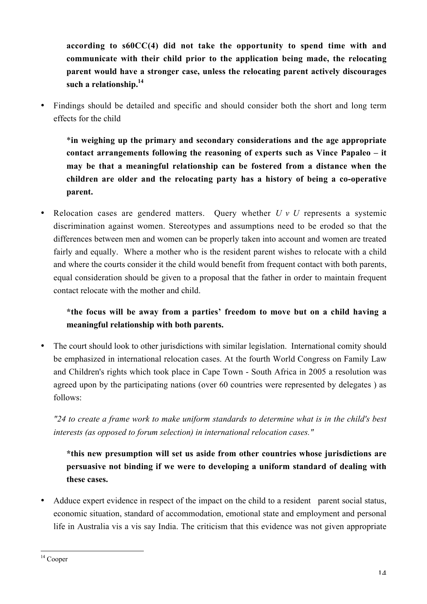according to s60CC(4) did not take the opportunity to spend time with and communicate with their child prior to the application being made, the relocating parent would have a stronger case, unless the relocating parent actively discourages such a relationship. $^{14}$ 

• Findings should be detailed and specific and should consider both the short and long term effects for the child

\*in weighing up the primary and secondary considerations and the age appropriate contact arrangements following the reasoning of experts such as Vince Papaleo – it may be that a meaningful relationship can be fostered from a distance when the children are older and the relocating party has a history of being a co-operative parent.

• Relocation cases are gendered matters. Query whether *U v U* represents a systemic discrimination against women. Stereotypes and assumptions need to be eroded so that the differences between men and women can be properly taken into account and women are treated fairly and equally. Where a mother who is the resident parent wishes to relocate with a child and where the courts consider it the child would benefit from frequent contact with both parents, equal consideration should be given to a proposal that the father in order to maintain frequent contact relocate with the mother and child.

# \*the focus will be away from a parties' freedom to move but on a child having a meaningful relationship with both parents.

• The court should look to other jurisdictions with similar legislation. International comity should be emphasized in international relocation cases. At the fourth World Congress on Family Law and Children's rights which took place in Cape Town - South Africa in 2005 a resolution was agreed upon by the participating nations (over 60 countries were represented by delegates ) as follows:

*"24 to create a frame work to make uniform standards to determine what is in the child's best interests (as opposed to forum selection) in international relocation cases."*

\*this new presumption will set us aside from other countries whose jurisdictions are persuasive not binding if we were to developing a uniform standard of dealing with these cases.

• Adduce expert evidence in respect of the impact on the child to a resident parent social status, economic situation, standard of accommodation, emotional state and employment and personal life in Australia vis a vis say India. The criticism that this evidence was not given appropriate

<sup>&</sup>lt;sup>14</sup> Cooper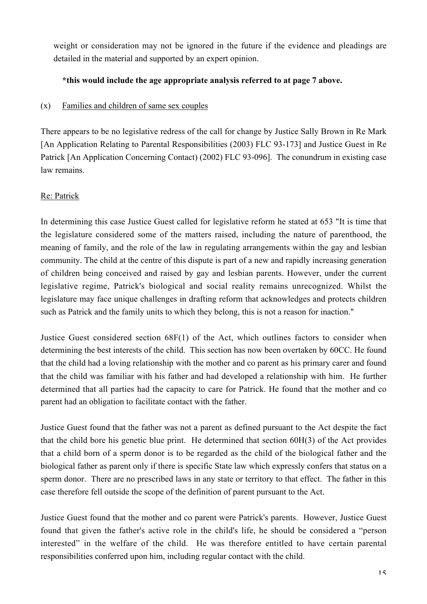weight or consideration may not be ignored in the future if the evidence and pleadings are detailed in the material and supported by an expert opinion.

## \*this would include the age appropriate analysis referred to at page 7 above.

## (x) Families and children of same sex couples

There appears to be no legislative redress of the call for change by Justice Sally Brown in Re Mark [An Application Relating to Parental Responsibilities (2003) FLC 93-173] and Justice Guest in Re Patrick [An Application Concerning Contact) (2002) FLC 93-096]. The conundrum in existing case law remains.

## Re: Patrick

In determining this case Justice Guest called for legislative reform he stated at 653 "It is time that the legislature considered some of the matters raised, including the nature of parenthood, the meaning of family, and the role of the law in regulating arrangements within the gay and lesbian community. The child at the centre of this dispute is part of a new and rapidly increasing generation of children being conceived and raised by gay and lesbian parents. However, under the current legislative regime, Patrick's biological and social reality remains unrecognized. Whilst the legislature may face unique challenges in drafting reform that acknowledges and protects children such as Patrick and the family units to which they belong, this is not a reason for inaction."

Justice Guest considered section 68F(1) of the Act, which outlines factors to consider when determining the best interests of the child. This section has now been overtaken by 60CC. He found that the child had a loving relationship with the mother and co parent as his primary carer and found that the child was familiar with his father and had developed a relationship with him. He further determined that all parties had the capacity to care for Patrick. He found that the mother and co parent had an obligation to facilitate contact with the father.

Justice Guest found that the father was not a parent as defined pursuant to the Act despite the fact that the child bore his genetic blue print. He determined that section 60H(3) of the Act provides that a child born of a sperm donor is to be regarded as the child of the biological father and the biological father as parent only if there is specific State law which expressly confers that status on a sperm donor. There are no prescribed laws in any state or territory to that effect. The father in this case therefore fell outside the scope of the definition of parent pursuant to the Act.

Justice Guest found that the mother and co parent were Patrick's parents. However, Justice Guest found that given the father's active role in the child's life, he should be considered a "person interested" in the welfare of the child. He was therefore entitled to have certain parental responsibilities conferred upon him, including regular contact with the child.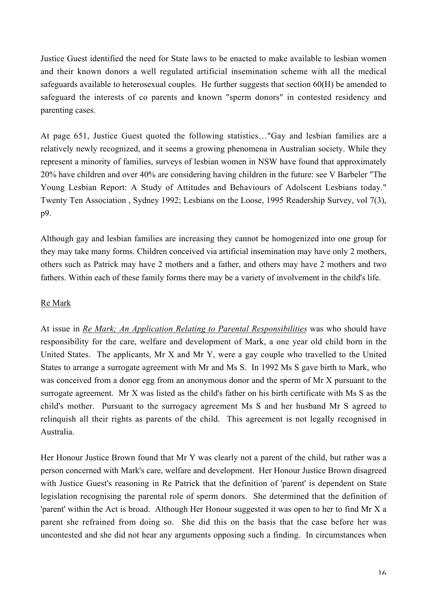Justice Guest identified the need for State laws to be enacted to make available to lesbian women and their known donors a well regulated artificial insemination scheme with all the medical safeguards available to heterosexual couples. He further suggests that section 60(H) be amended to safeguard the interests of co parents and known "sperm donors" in contested residency and parenting cases.

At page 651, Justice Guest quoted the following statistics…"Gay and lesbian families are a relatively newly recognized, and it seems a growing phenomena in Australian society. While they represent a minority of families, surveys of lesbian women in NSW have found that approximately 20% have children and over 40% are considering having children in the future: see V Barbeler "The Young Lesbian Report: A Study of Attitudes and Behaviours of Adolscent Lesbians today." Twenty Ten Association , Sydney 1992; Lesbians on the Loose, 1995 Readership Survey, vol 7(3), p9.

Although gay and lesbian families are increasing they cannot be homogenized into one group for they may take many forms. Children conceived via artificial insemination may have only 2 mothers, others such as Patrick may have 2 mothers and a father, and others may have 2 mothers and two fathers. Within each of these family forms there may be a variety of involvement in the child's life.

#### Re Mark

At issue in *Re Mark; An Application Relating to Parental Responsibilities* was who should have responsibility for the care, welfare and development of Mark, a one year old child born in the United States. The applicants, Mr X and Mr Y, were a gay couple who travelled to the United States to arrange a surrogate agreement with Mr and Ms S. In 1992 Ms S gave birth to Mark, who was conceived from a donor egg from an anonymous donor and the sperm of Mr X pursuant to the surrogate agreement. Mr X was listed as the child's father on his birth certificate with Ms S as the child's mother. Pursuant to the surrogacy agreement Ms S and her husband Mr S agreed to relinquish all their rights as parents of the child. This agreement is not legally recognised in Australia.

Her Honour Justice Brown found that Mr Y was clearly not a parent of the child, but rather was a person concerned with Mark's care, welfare and development. Her Honour Justice Brown disagreed with Justice Guest's reasoning in Re Patrick that the definition of 'parent' is dependent on State legislation recognising the parental role of sperm donors. She determined that the definition of 'parent' within the Act is broad. Although Her Honour suggested it was open to her to find Mr X a parent she refrained from doing so. She did this on the basis that the case before her was uncontested and she did not hear any arguments opposing such a finding. In circumstances when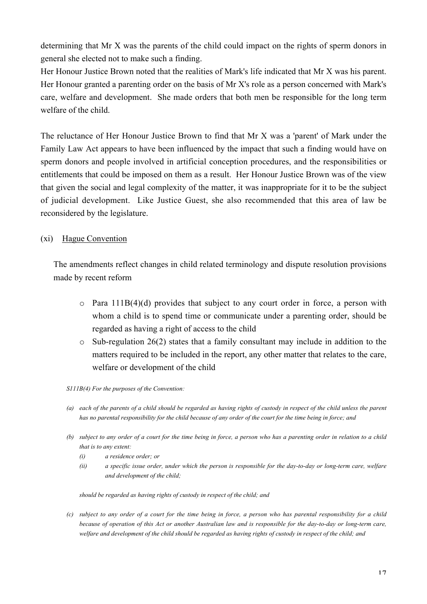determining that Mr X was the parents of the child could impact on the rights of sperm donors in general she elected not to make such a finding.

Her Honour Justice Brown noted that the realities of Mark's life indicated that Mr X was his parent. Her Honour granted a parenting order on the basis of Mr X's role as a person concerned with Mark's care, welfare and development. She made orders that both men be responsible for the long term welfare of the child.

The reluctance of Her Honour Justice Brown to find that Mr X was a 'parent' of Mark under the Family Law Act appears to have been influenced by the impact that such a finding would have on sperm donors and people involved in artificial conception procedures, and the responsibilities or entitlements that could be imposed on them as a result. Her Honour Justice Brown was of the view that given the social and legal complexity of the matter, it was inappropriate for it to be the subject of judicial development. Like Justice Guest, she also recommended that this area of law be reconsidered by the legislature.

## (xi) Hague Convention

The amendments reflect changes in child related terminology and dispute resolution provisions made by recent reform

- $\circ$  Para 111B(4)(d) provides that subject to any court order in force, a person with whom a child is to spend time or communicate under a parenting order, should be regarded as having a right of access to the child
- $\circ$  Sub-regulation 26(2) states that a family consultant may include in addition to the matters required to be included in the report, any other matter that relates to the care, welfare or development of the child
- *S111B(4) For the purposes of the Convention:*
- *(a) each of the parents of a child should be regarded as having rights of custody in respect of the child unless the parent has no parental responsibility for the child because of any order of the court for the time being in force; and*
- *(b) subject to any order of a court for the time being in force, a person who has a parenting order in relation to a child that is to any extent:*
	- *(i) a residence order; or*
	- *(ii) a specific issue order, under which the person is responsible for the day-to-day or long-term care, welfare and development of the child;*

*should be regarded as having rights of custody in respect of the child; and*

*(c) subject to any order of a court for the time being in force, a person who has parental responsibility for a child because of operation of this Act or another Australian law and is responsible for the day-to-day or long-term care, welfare and development of the child should be regarded as having rights of custody in respect of the child; and*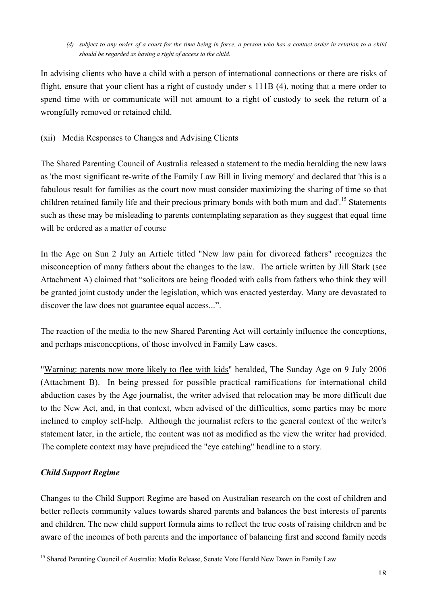*(d) subject to any order of a court for the time being in force, a person who has a contact order in relation to a child should be regarded as having a right of access to the child.*

In advising clients who have a child with a person of international connections or there are risks of flight, ensure that your client has a right of custody under s 111B (4), noting that a mere order to spend time with or communicate will not amount to a right of custody to seek the return of a wrongfully removed or retained child.

## (xii) Media Responses to Changes and Advising Clients

The Shared Parenting Council of Australia released a statement to the media heralding the new laws as 'the most significant re-write of the Family Law Bill in living memory' and declared that 'this is a fabulous result for families as the court now must consider maximizing the sharing of time so that children retained family life and their precious primary bonds with both mum and dad'.<sup>15</sup> Statements such as these may be misleading to parents contemplating separation as they suggest that equal time will be ordered as a matter of course

In the Age on Sun 2 July an Article titled "New law pain for divorced fathers" recognizes the misconception of many fathers about the changes to the law. The article written by Jill Stark (see Attachment A) claimed that "solicitors are being flooded with calls from fathers who think they will be granted joint custody under the legislation, which was enacted yesterday. Many are devastated to discover the law does not guarantee equal access...".

The reaction of the media to the new Shared Parenting Act will certainly influence the conceptions, and perhaps misconceptions, of those involved in Family Law cases.

"Warning: parents now more likely to flee with kids" heralded, The Sunday Age on 9 July 2006 (Attachment B). In being pressed for possible practical ramifications for international child abduction cases by the Age journalist, the writer advised that relocation may be more difficult due to the New Act, and, in that context, when advised of the difficulties, some parties may be more inclined to employ self-help. Although the journalist refers to the general context of the writer's statement later, in the article, the content was not as modified as the view the writer had provided. The complete context may have prejudiced the "eye catching" headline to a story.

## *Child Support Regime*

Changes to the Child Support Regime are based on Australian research on the cost of children and better reflects community values towards shared parents and balances the best interests of parents and children. The new child support formula aims to reflect the true costs of raising children and be aware of the incomes of both parents and the importance of balancing first and second family needs

<sup>&</sup>lt;sup>15</sup> Shared Parenting Council of Australia: Media Release, Senate Vote Herald New Dawn in Family Law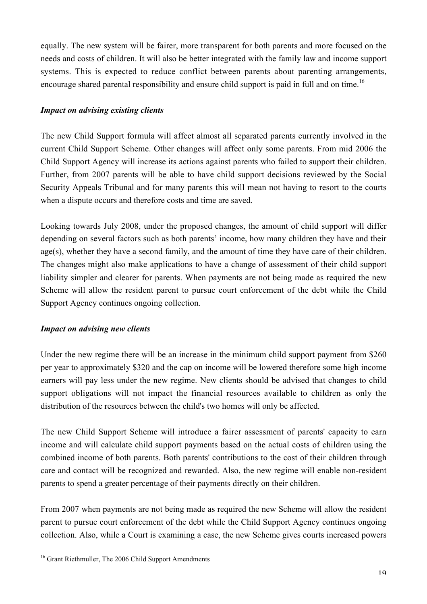equally. The new system will be fairer, more transparent for both parents and more focused on the needs and costs of children. It will also be better integrated with the family law and income support systems. This is expected to reduce conflict between parents about parenting arrangements, encourage shared parental responsibility and ensure child support is paid in full and on time.<sup>16</sup>

## *Impact on advising existing clients*

The new Child Support formula will affect almost all separated parents currently involved in the current Child Support Scheme. Other changes will affect only some parents. From mid 2006 the Child Support Agency will increase its actions against parents who failed to support their children. Further, from 2007 parents will be able to have child support decisions reviewed by the Social Security Appeals Tribunal and for many parents this will mean not having to resort to the courts when a dispute occurs and therefore costs and time are saved.

Looking towards July 2008, under the proposed changes, the amount of child support will differ depending on several factors such as both parents' income, how many children they have and their age(s), whether they have a second family, and the amount of time they have care of their children. The changes might also make applications to have a change of assessment of their child support liability simpler and clearer for parents. When payments are not being made as required the new Scheme will allow the resident parent to pursue court enforcement of the debt while the Child Support Agency continues ongoing collection.

#### *Impact on advising new clients*

Under the new regime there will be an increase in the minimum child support payment from \$260 per year to approximately \$320 and the cap on income will be lowered therefore some high income earners will pay less under the new regime. New clients should be advised that changes to child support obligations will not impact the financial resources available to children as only the distribution of the resources between the child's two homes will only be affected.

The new Child Support Scheme will introduce a fairer assessment of parents' capacity to earn income and will calculate child support payments based on the actual costs of children using the combined income of both parents. Both parents' contributions to the cost of their children through care and contact will be recognized and rewarded. Also, the new regime will enable non-resident parents to spend a greater percentage of their payments directly on their children.

From 2007 when payments are not being made as required the new Scheme will allow the resident parent to pursue court enforcement of the debt while the Child Support Agency continues ongoing collection. Also, while a Court is examining a case, the new Scheme gives courts increased powers

<sup>&</sup>lt;sup>16</sup> Grant Riethmuller, The 2006 Child Support Amendments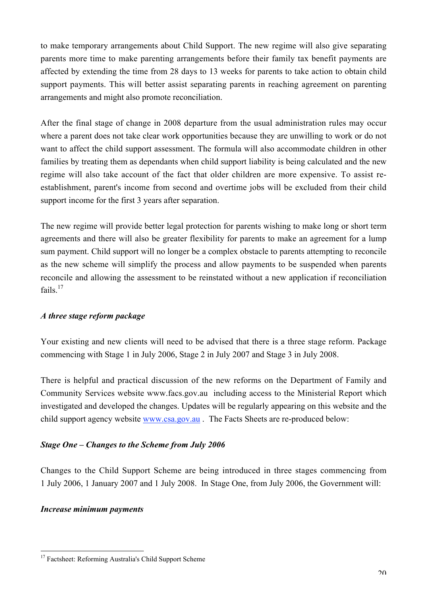to make temporary arrangements about Child Support. The new regime will also give separating parents more time to make parenting arrangements before their family tax benefit payments are affected by extending the time from 28 days to 13 weeks for parents to take action to obtain child support payments. This will better assist separating parents in reaching agreement on parenting arrangements and might also promote reconciliation.

After the final stage of change in 2008 departure from the usual administration rules may occur where a parent does not take clear work opportunities because they are unwilling to work or do not want to affect the child support assessment. The formula will also accommodate children in other families by treating them as dependants when child support liability is being calculated and the new regime will also take account of the fact that older children are more expensive. To assist reestablishment, parent's income from second and overtime jobs will be excluded from their child support income for the first 3 years after separation.

The new regime will provide better legal protection for parents wishing to make long or short term agreements and there will also be greater flexibility for parents to make an agreement for a lump sum payment. Child support will no longer be a complex obstacle to parents attempting to reconcile as the new scheme will simplify the process and allow payments to be suspended when parents reconcile and allowing the assessment to be reinstated without a new application if reconciliation fails. $17$ 

## *A three stage reform package*

Your existing and new clients will need to be advised that there is a three stage reform. Package commencing with Stage 1 in July 2006, Stage 2 in July 2007 and Stage 3 in July 2008.

There is helpful and practical discussion of the new reforms on the Department of Family and Community Services website www.facs.gov.au including access to the Ministerial Report which investigated and developed the changes. Updates will be regularly appearing on this website and the child support agency website www.csa.gov.au . The Facts Sheets are re-produced below:

## *Stage One – Changes to the Scheme from July 2006*

Changes to the Child Support Scheme are being introduced in three stages commencing from 1 July 2006, 1 January 2007 and 1 July 2008. In Stage One, from July 2006, the Government will:

#### *Increase minimum payments*

 <sup>17</sup> Factsheet: Reforming Australia's Child Support Scheme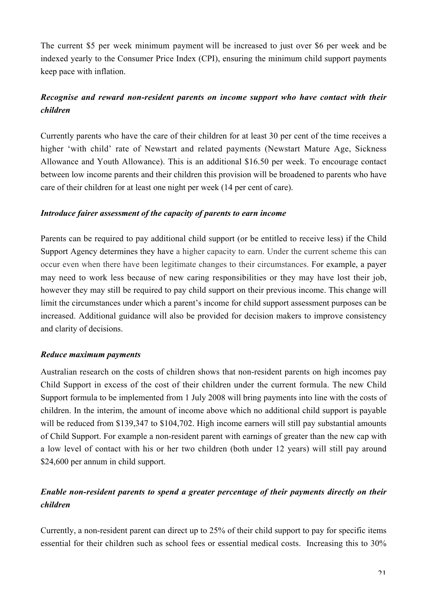The current \$5 per week minimum payment will be increased to just over \$6 per week and be indexed yearly to the Consumer Price Index (CPI), ensuring the minimum child support payments keep pace with inflation.

# *Recognise and reward non-resident parents on income support who have contact with their children*

Currently parents who have the care of their children for at least 30 per cent of the time receives a higher 'with child' rate of Newstart and related payments (Newstart Mature Age, Sickness Allowance and Youth Allowance). This is an additional \$16.50 per week. To encourage contact between low income parents and their children this provision will be broadened to parents who have care of their children for at least one night per week (14 per cent of care).

#### *Introduce fairer assessment of the capacity of parents to earn income*

Parents can be required to pay additional child support (or be entitled to receive less) if the Child Support Agency determines they have a higher capacity to earn. Under the current scheme this can occur even when there have been legitimate changes to their circumstances. For example, a payer may need to work less because of new caring responsibilities or they may have lost their job, however they may still be required to pay child support on their previous income. This change will limit the circumstances under which a parent's income for child support assessment purposes can be increased. Additional guidance will also be provided for decision makers to improve consistency and clarity of decisions.

#### *Reduce maximum payments*

Australian research on the costs of children shows that non-resident parents on high incomes pay Child Support in excess of the cost of their children under the current formula. The new Child Support formula to be implemented from 1 July 2008 will bring payments into line with the costs of children. In the interim, the amount of income above which no additional child support is payable will be reduced from \$139,347 to \$104,702. High income earners will still pay substantial amounts of Child Support. For example a non-resident parent with earnings of greater than the new cap with a low level of contact with his or her two children (both under 12 years) will still pay around \$24,600 per annum in child support.

# *Enable non-resident parents to spend a greater percentage of their payments directly on their children*

Currently, a non-resident parent can direct up to 25% of their child support to pay for specific items essential for their children such as school fees or essential medical costs. Increasing this to 30%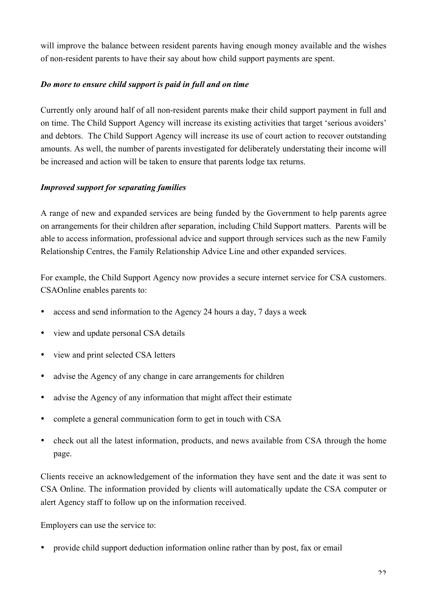will improve the balance between resident parents having enough money available and the wishes of non-resident parents to have their say about how child support payments are spent.

## *Do more to ensure child support is paid in full and on time*

Currently only around half of all non-resident parents make their child support payment in full and on time. The Child Support Agency will increase its existing activities that target 'serious avoiders' and debtors. The Child Support Agency will increase its use of court action to recover outstanding amounts. As well, the number of parents investigated for deliberately understating their income will be increased and action will be taken to ensure that parents lodge tax returns.

## *Improved support for separating families*

A range of new and expanded services are being funded by the Government to help parents agree on arrangements for their children after separation, including Child Support matters. Parents will be able to access information, professional advice and support through services such as the new Family Relationship Centres, the Family Relationship Advice Line and other expanded services.

For example, the Child Support Agency now provides a secure internet service for CSA customers. CSAOnline enables parents to:

- access and send information to the Agency 24 hours a day, 7 days a week
- view and update personal CSA details
- view and print selected CSA letters
- advise the Agency of any change in care arrangements for children
- advise the Agency of any information that might affect their estimate
- complete a general communication form to get in touch with CSA
- check out all the latest information, products, and news available from CSA through the home page.

Clients receive an acknowledgement of the information they have sent and the date it was sent to CSA Online. The information provided by clients will automatically update the CSA computer or alert Agency staff to follow up on the information received.

Employers can use the service to:

• provide child support deduction information online rather than by post, fax or email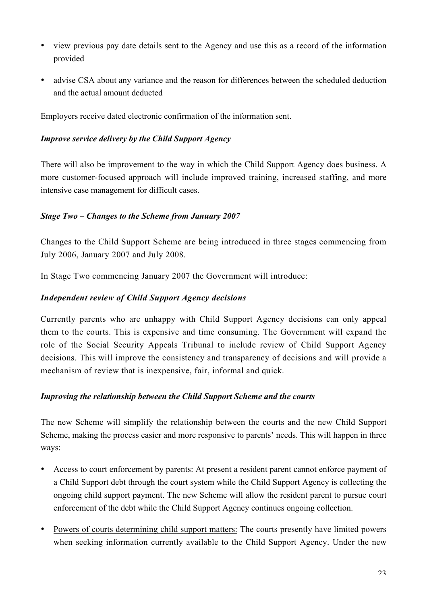- view previous pay date details sent to the Agency and use this as a record of the information provided
- advise CSA about any variance and the reason for differences between the scheduled deduction and the actual amount deducted

Employers receive dated electronic confirmation of the information sent.

## *Improve service delivery by the Child Support Agency*

There will also be improvement to the way in which the Child Support Agency does business. A more customer-focused approach will include improved training, increased staffing, and more intensive case management for difficult cases.

# *Stage Two – Changes to the Scheme from January 2007*

Changes to the Child Support Scheme are being introduced in three stages commencing from July 2006, January 2007 and July 2008.

In Stage Two commencing January 2007 the Government will introduce:

# *Independent review of Child Support Agency decisions*

Currently parents who are unhappy with Child Support Agency decisions can only appeal them to the courts. This is expensive and time consuming. The Government will expand the role of the Social Security Appeals Tribunal to include review of Child Support Agency decisions. This will improve the consistency and transparency of decisions and will provide a mechanism of review that is inexpensive, fair, informal and quick.

## *Improving the relationship between the Child Support Scheme and the courts*

The new Scheme will simplify the relationship between the courts and the new Child Support Scheme, making the process easier and more responsive to parents' needs. This will happen in three ways:

- Access to court enforcement by parents: At present a resident parent cannot enforce payment of a Child Support debt through the court system while the Child Support Agency is collecting the ongoing child support payment. The new Scheme will allow the resident parent to pursue court enforcement of the debt while the Child Support Agency continues ongoing collection.
- Powers of courts determining child support matters: The courts presently have limited powers when seeking information currently available to the Child Support Agency. Under the new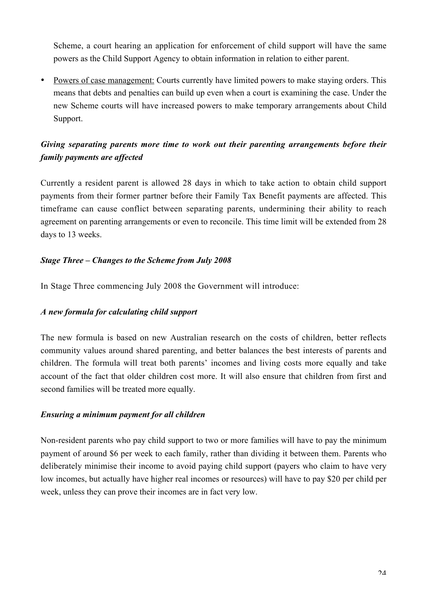Scheme, a court hearing an application for enforcement of child support will have the same powers as the Child Support Agency to obtain information in relation to either parent.

• Powers of case management: Courts currently have limited powers to make staying orders. This means that debts and penalties can build up even when a court is examining the case. Under the new Scheme courts will have increased powers to make temporary arrangements about Child Support.

# *Giving separating parents more time to work out their parenting arrangements before their family payments are affected*

Currently a resident parent is allowed 28 days in which to take action to obtain child support payments from their former partner before their Family Tax Benefit payments are affected. This timeframe can cause conflict between separating parents, undermining their ability to reach agreement on parenting arrangements or even to reconcile. This time limit will be extended from 28 days to 13 weeks.

## *Stage Three – Changes to the Scheme from July 2008*

In Stage Three commencing July 2008 the Government will introduce:

## *A new formula for calculating child support*

The new formula is based on new Australian research on the costs of children, better reflects community values around shared parenting, and better balances the best interests of parents and children. The formula will treat both parents' incomes and living costs more equally and take account of the fact that older children cost more. It will also ensure that children from first and second families will be treated more equally.

#### *Ensuring a minimum payment for all children*

Non-resident parents who pay child support to two or more families will have to pay the minimum payment of around \$6 per week to each family, rather than dividing it between them. Parents who deliberately minimise their income to avoid paying child support (payers who claim to have very low incomes, but actually have higher real incomes or resources) will have to pay \$20 per child per week, unless they can prove their incomes are in fact very low.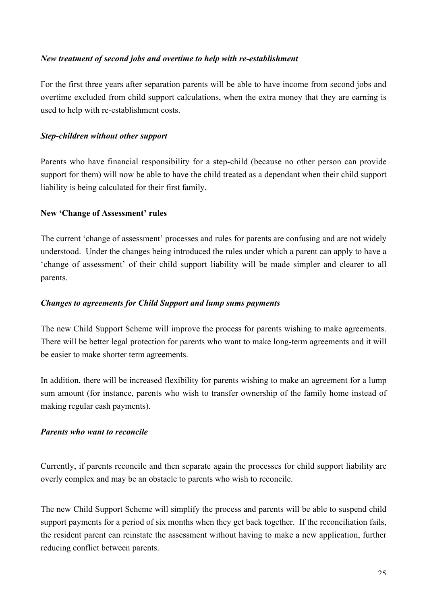## *New treatment of second jobs and overtime to help with re-establishment*

For the first three years after separation parents will be able to have income from second jobs and overtime excluded from child support calculations, when the extra money that they are earning is used to help with re-establishment costs.

### *Step-children without other support*

Parents who have financial responsibility for a step-child (because no other person can provide support for them) will now be able to have the child treated as a dependant when their child support liability is being calculated for their first family.

## New 'Change of Assessment' rules

The current 'change of assessment' processes and rules for parents are confusing and are not widely understood. Under the changes being introduced the rules under which a parent can apply to have a 'change of assessment' of their child support liability will be made simpler and clearer to all parents.

### *Changes to agreements for Child Support and lump sums payments*

The new Child Support Scheme will improve the process for parents wishing to make agreements. There will be better legal protection for parents who want to make long-term agreements and it will be easier to make shorter term agreements.

In addition, there will be increased flexibility for parents wishing to make an agreement for a lump sum amount (for instance, parents who wish to transfer ownership of the family home instead of making regular cash payments).

#### *Parents who want to reconcile*

Currently, if parents reconcile and then separate again the processes for child support liability are overly complex and may be an obstacle to parents who wish to reconcile.

The new Child Support Scheme will simplify the process and parents will be able to suspend child support payments for a period of six months when they get back together. If the reconciliation fails, the resident parent can reinstate the assessment without having to make a new application, further reducing conflict between parents.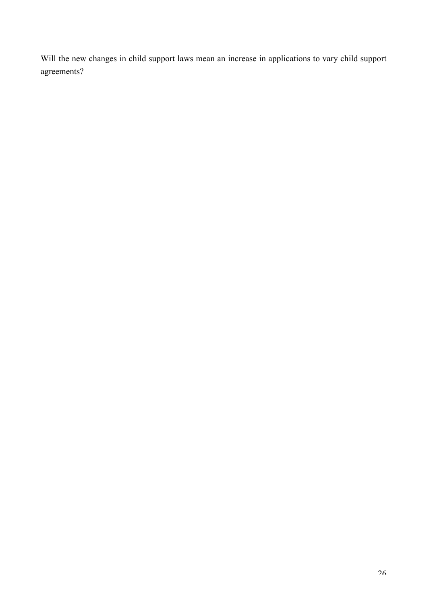Will the new changes in child support laws mean an increase in applications to vary child support agreements?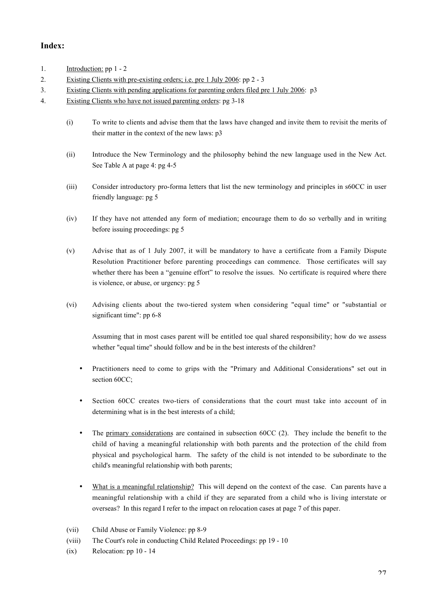### Index:

- 1. Introduction: pp 1 2 2. Existing Clients with pre-existing orders; i.e. pre 1 July 2006: pp 2 - 3
- 3. Existing Clients with pending applications for parenting orders filed pre 1 July 2006: p3
- 4. Existing Clients who have not issued parenting orders: pg 3-18
	- (i) To write to clients and advise them that the laws have changed and invite them to revisit the merits of their matter in the context of the new laws: p3
	- (ii) Introduce the New Terminology and the philosophy behind the new language used in the New Act. See Table A at page 4: pg 4-5
	- (iii) Consider introductory pro-forma letters that list the new terminology and principles in s60CC in user friendly language: pg 5
	- (iv) If they have not attended any form of mediation; encourage them to do so verbally and in writing before issuing proceedings: pg 5
	- (v) Advise that as of 1 July 2007, it will be mandatory to have a certificate from a Family Dispute Resolution Practitioner before parenting proceedings can commence. Those certificates will say whether there has been a "genuine effort" to resolve the issues. No certificate is required where there is violence, or abuse, or urgency: pg 5
	- (vi) Advising clients about the two-tiered system when considering "equal time" or "substantial or significant time": pp 6-8

Assuming that in most cases parent will be entitled toe qual shared responsibility; how do we assess whether "equal time" should follow and be in the best interests of the children?

- Practitioners need to come to grips with the "Primary and Additional Considerations" set out in section 60CC:
- Section 60CC creates two-tiers of considerations that the court must take into account of in determining what is in the best interests of a child;
- The primary considerations are contained in subsection  $60CC(2)$ . They include the benefit to the child of having a meaningful relationship with both parents and the protection of the child from physical and psychological harm. The safety of the child is not intended to be subordinate to the child's meaningful relationship with both parents;
- What is a meaningful relationship? This will depend on the context of the case. Can parents have a meaningful relationship with a child if they are separated from a child who is living interstate or overseas? In this regard I refer to the impact on relocation cases at page 7 of this paper.
- (vii) Child Abuse or Family Violence: pp 8-9
- (viii) The Court's role in conducting Child Related Proceedings: pp 19 10
- (ix) Relocation: pp 10 14